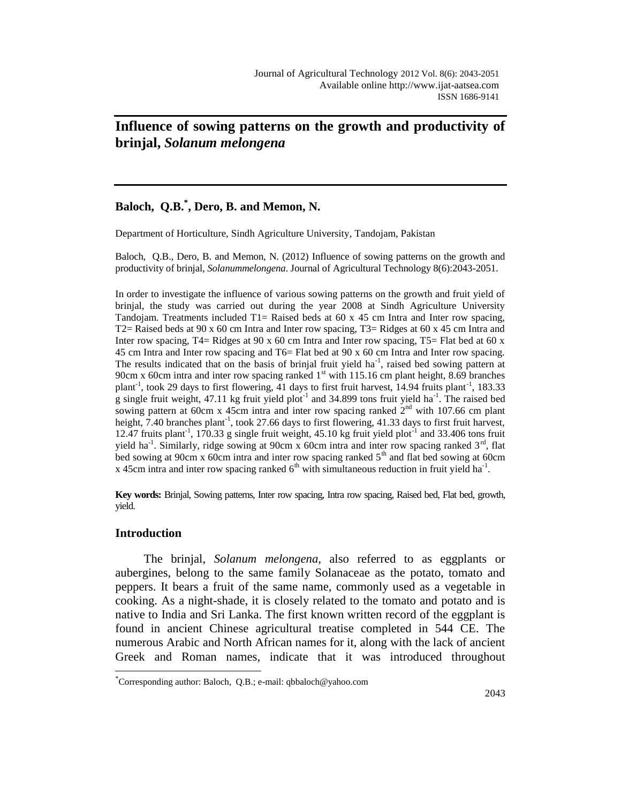# **Influence of sowing patterns on the growth and productivity of brinjal,** *Solanum melongena*

# **Baloch, Q.B.\* , Dero, B. and Memon, N.**

Department of Horticulture, Sindh Agriculture University, Tandojam, Pakistan

Baloch, Q.B., Dero, B. and Memon, N. (2012) Influence of sowing patterns on the growth and productivity of brinjal, *Solanummelongena*. Journal of Agricultural Technology 8(6):2043-2051.

In order to investigate the influence of various sowing patterns on the growth and fruit yield of brinjal, the study was carried out during the year 2008 at Sindh Agriculture University Tandojam. Treatments included T1= Raised beds at  $60 \times 45$  cm Intra and Inter row spacing, T2= Raised beds at 90 x 60 cm Intra and Inter row spacing, T3= Ridges at 60 x 45 cm Intra and Inter row spacing, T4= Ridges at 90 x 60 cm Intra and Inter row spacing, T5= Flat bed at 60 x 45 cm Intra and Inter row spacing and T6= Flat bed at 90 x 60 cm Intra and Inter row spacing. The results indicated that on the basis of brinjal fruit yield  $ha^{-1}$ , raised bed sowing pattern at 90cm x 60cm intra and inter row spacing ranked  $1<sup>st</sup>$  with 115.16 cm plant height, 8.69 branches plant<sup>-1</sup>, took 29 days to first flowering, 41 days to first fruit harvest, 14.94 fruits plant<sup>-1</sup>, 183.33 g single fruit weight, 47.11 kg fruit yield plot<sup>-1</sup> and 34.899 tons fruit yield ha<sup>-1</sup>. The raised bed sowing pattern at 60cm x 45cm intra and inter row spacing ranked  $2<sup>nd</sup>$  with 107.66 cm plant height, 7.40 branches plant<sup>-1</sup>, took 27.66 days to first flowering, 41.33 days to first fruit harvest, 12.47 fruits plant<sup>-1</sup>, 170.33 g single fruit weight, 45.10 kg fruit yield plot<sup>-1</sup> and 33.406 tons fruit yield ha<sup>-1</sup>. Similarly, ridge sowing at 90cm x 60cm intra and inter row spacing ranked  $3<sup>rd</sup>$ , flat bed sowing at 90cm x 60cm intra and inter row spacing ranked  $5<sup>th</sup>$  and flat bed sowing at 60cm x 45cm intra and inter row spacing ranked  $6<sup>th</sup>$  with simultaneous reduction in fruit yield ha<sup>-1</sup>.

**Key words:** Brinjal, Sowing patterns, Inter row spacing, Intra row spacing, Raised bed, Flat bed, growth, yield.

## **Introduction**

 $\overline{a}$ 

The brinjal, *Solanum melongena,* also referred to as eggplants or aubergines, belong to the same family Solanaceae as the potato, tomato and peppers. It bears a [fruit](http://en.wikipedia.org/wiki/Fruit) of the same name, commonly used as a [vegetable](http://en.wikipedia.org/wiki/Vegetable) in cooking. As a night-shade, it is closely related to the [tomato](http://en.wikipedia.org/wiki/Tomato) and [potato](http://en.wikipedia.org/wiki/Potato) and is native to [India](http://en.wikipedia.org/wiki/India) and [Sri Lanka.](http://en.wikipedia.org/wiki/Sri_Lanka) The first known written record of the eggplant is found in ancient Chinese agricultural treatise completed in 544 CE. The numerous [Arabic](http://en.wikipedia.org/wiki/Arabic_language) and North African names for it, along with the lack of ancient Greek and Roman names, indicate that it was introduced throughout

<sup>\*</sup> Corresponding author: Baloch, Q.B.; e-mail: qbbaloch@yahoo.com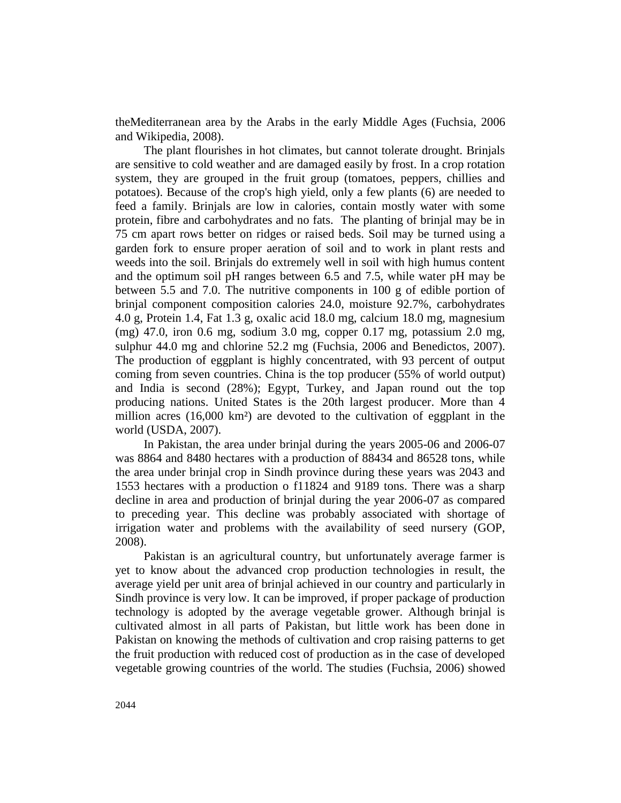th[eMediterranean](http://en.wikipedia.org/wiki/Mediterranean) area by the [Arabs](http://en.wikipedia.org/wiki/Arabs) in the early [Middle Ages](http://en.wikipedia.org/wiki/Middle_Ages) (Fuchsia, 2006 and Wikipedia, 2008).

The plant flourishes in hot climates, but cannot tolerate drought. Brinjals are sensitive to cold weather and are damaged easily by frost. In a crop rotation system, they are grouped in the fruit group (tomatoes, peppers, chillies and potatoes). Because of the crop's high yield, only a few plants (6) are needed to feed a family. Brinjals are low in calories, contain mostly water with some protein, fibre and carbohydrates and no fats. The planting of brinjal may be in 75 cm apart rows better on ridges or raised beds. Soil may be turned using a garden fork to ensure proper aeration of soil and to work in plant rests and weeds into the soil. Brinjals do extremely well in soil with high humus content and the optimum soil pH ranges between 6.5 and 7.5, while water pH may be between 5.5 and 7.0. The nutritive components in 100 g of edible portion of brinjal component composition calories 24.0, moisture 92.7%, carbohydrates 4.0 g, Protein 1.4, Fat 1.3 g, oxalic acid 18.0 mg, calcium 18.0 mg, magnesium (mg) 47.0, iron 0.6 mg, sodium 3.0 mg, copper 0.17 mg, potassium 2.0 mg, sulphur 44.0 mg and chlorine 52.2 mg (Fuchsia, 2006 and Benedictos, 2007). The production of eggplant is highly concentrated, with 93 percent of output coming from seven countries. China is the top producer (55% of world output) and India is second (28%); Egypt, Turkey, and Japan round out the top producing nations. United States is the 20th largest producer. More than 4 million acres (16,000 km²) are devoted to the cultivation of eggplant in the world (USDA, 2007).

In Pakistan, the area under brinjal during the years 2005-06 and 2006-07 was 8864 and 8480 hectares with a production of 88434 and 86528 tons, while the area under brinjal crop in Sindh province during these years was 2043 and 1553 hectares with a production o f11824 and 9189 tons. There was a sharp decline in area and production of brinjal during the year 2006-07 as compared to preceding year. This decline was probably associated with shortage of irrigation water and problems with the availability of seed nursery (GOP, 2008).

Pakistan is an agricultural country, but unfortunately average farmer is yet to know about the advanced crop production technologies in result, the average yield per unit area of brinjal achieved in our country and particularly in Sindh province is very low. It can be improved, if proper package of production technology is adopted by the average vegetable grower. Although brinjal is cultivated almost in all parts of Pakistan, but little work has been done in Pakistan on knowing the methods of cultivation and crop raising patterns to get the fruit production with reduced cost of production as in the case of developed vegetable growing countries of the world. The studies (Fuchsia, 2006) showed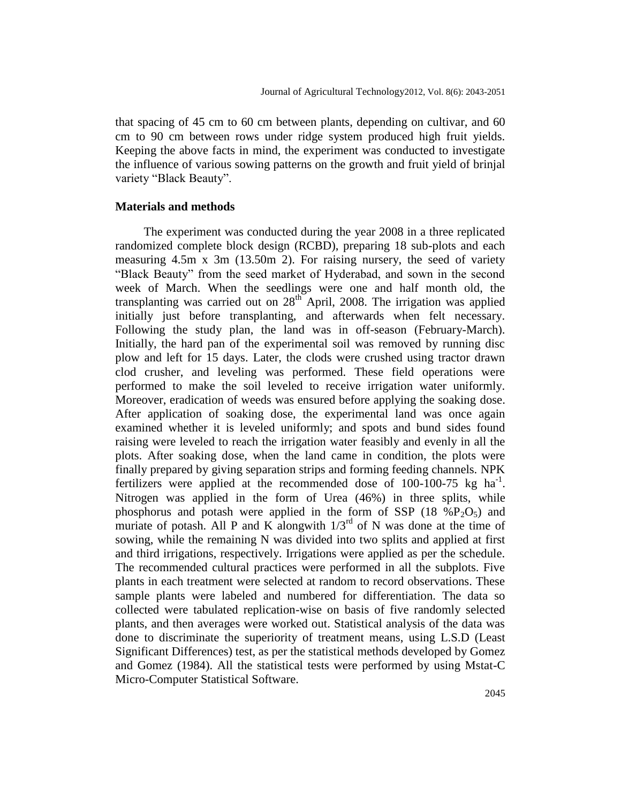that spacing of 45 cm to 60 cm between plants, depending on cultivar, and 60 cm to 90 cm between rows under ridge system produced high fruit yields. Keeping the above facts in mind, the experiment was conducted to investigate the influence of various sowing patterns on the growth and fruit yield of brinjal variety "Black Beauty".

#### **Materials and methods**

The experiment was conducted during the year 2008 in a three replicated randomized complete block design (RCBD), preparing 18 sub-plots and each measuring 4.5m x 3m (13.50m 2). For raising nursery, the seed of variety "Black Beauty" from the seed market of Hyderabad, and sown in the second week of March. When the seedlings were one and half month old, the transplanting was carried out on  $28<sup>th</sup>$  April, 2008. The irrigation was applied initially just before transplanting, and afterwards when felt necessary. Following the study plan, the land was in off-season (February-March). Initially, the hard pan of the experimental soil was removed by running disc plow and left for 15 days. Later, the clods were crushed using tractor drawn clod crusher, and leveling was performed. These field operations were performed to make the soil leveled to receive irrigation water uniformly. Moreover, eradication of weeds was ensured before applying the soaking dose. After application of soaking dose, the experimental land was once again examined whether it is leveled uniformly; and spots and bund sides found raising were leveled to reach the irrigation water feasibly and evenly in all the plots. After soaking dose, when the land came in condition, the plots were finally prepared by giving separation strips and forming feeding channels. NPK fertilizers were applied at the recommended dose of  $100-100-75$  kg ha<sup>-1</sup>. Nitrogen was applied in the form of Urea (46%) in three splits, while phosphorus and potash were applied in the form of SSP (18  $\%P_2O_5$ ) and muriate of potash. All P and K alongwith  $1/3^{rd}$  of N was done at the time of sowing, while the remaining N was divided into two splits and applied at first and third irrigations, respectively. Irrigations were applied as per the schedule. The recommended cultural practices were performed in all the subplots. Five plants in each treatment were selected at random to record observations. These sample plants were labeled and numbered for differentiation. The data so collected were tabulated replication-wise on basis of five randomly selected plants, and then averages were worked out. Statistical analysis of the data was done to discriminate the superiority of treatment means, using L.S.D (Least Significant Differences) test, as per the statistical methods developed by Gomez and Gomez (1984). All the statistical tests were performed by using Mstat-C Micro-Computer Statistical Software.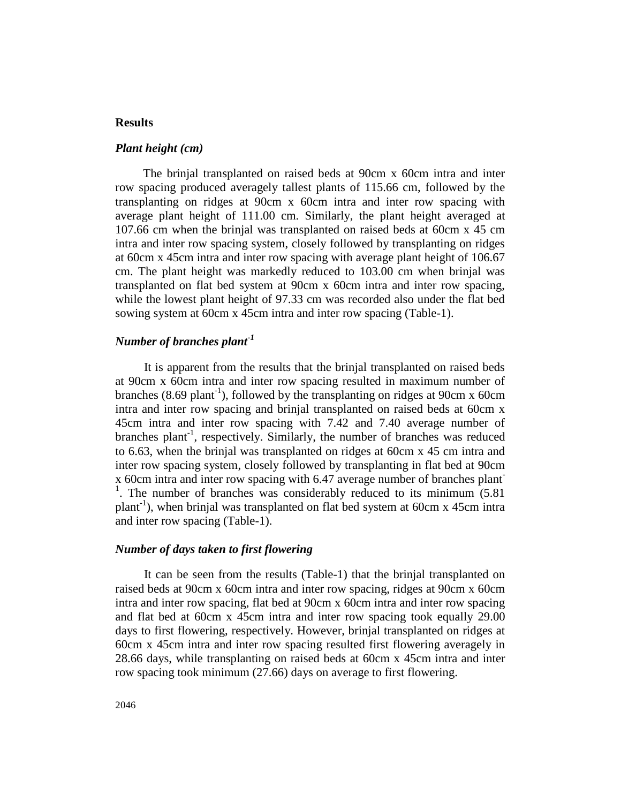# **Results**

#### *Plant height (cm)*

The brinjal transplanted on raised beds at 90cm x 60cm intra and inter row spacing produced averagely tallest plants of 115.66 cm, followed by the transplanting on ridges at 90cm x 60cm intra and inter row spacing with average plant height of 111.00 cm. Similarly, the plant height averaged at 107.66 cm when the brinjal was transplanted on raised beds at 60cm x 45 cm intra and inter row spacing system, closely followed by transplanting on ridges at 60cm x 45cm intra and inter row spacing with average plant height of 106.67 cm. The plant height was markedly reduced to 103.00 cm when brinjal was transplanted on flat bed system at 90cm x 60cm intra and inter row spacing, while the lowest plant height of 97.33 cm was recorded also under the flat bed sowing system at 60cm x 45cm intra and inter row spacing (Table-1).

#### *Number of branches plant-1*

It is apparent from the results that the brinjal transplanted on raised beds at 90cm x 60cm intra and inter row spacing resulted in maximum number of branches  $(8.69 \text{ plant}^{-1})$ , followed by the transplanting on ridges at 90cm x 60cm intra and inter row spacing and brinjal transplanted on raised beds at 60cm x 45cm intra and inter row spacing with 7.42 and 7.40 average number of branches plant<sup>-1</sup>, respectively. Similarly, the number of branches was reduced to 6.63, when the brinjal was transplanted on ridges at 60cm x 45 cm intra and inter row spacing system, closely followed by transplanting in flat bed at 90cm x 60cm intra and inter row spacing with 6.47 average number of branches plant-<sup>1</sup>. The number of branches was considerably reduced to its minimum (5.81) plant-1 ), when brinjal was transplanted on flat bed system at 60cm x 45cm intra and inter row spacing (Table-1).

### *Number of days taken to first flowering*

It can be seen from the results (Table-1) that the brinjal transplanted on raised beds at 90cm x 60cm intra and inter row spacing, ridges at 90cm x 60cm intra and inter row spacing, flat bed at 90cm x 60cm intra and inter row spacing and flat bed at 60cm x 45cm intra and inter row spacing took equally 29.00 days to first flowering, respectively. However, brinjal transplanted on ridges at 60cm x 45cm intra and inter row spacing resulted first flowering averagely in 28.66 days, while transplanting on raised beds at 60cm x 45cm intra and inter row spacing took minimum (27.66) days on average to first flowering.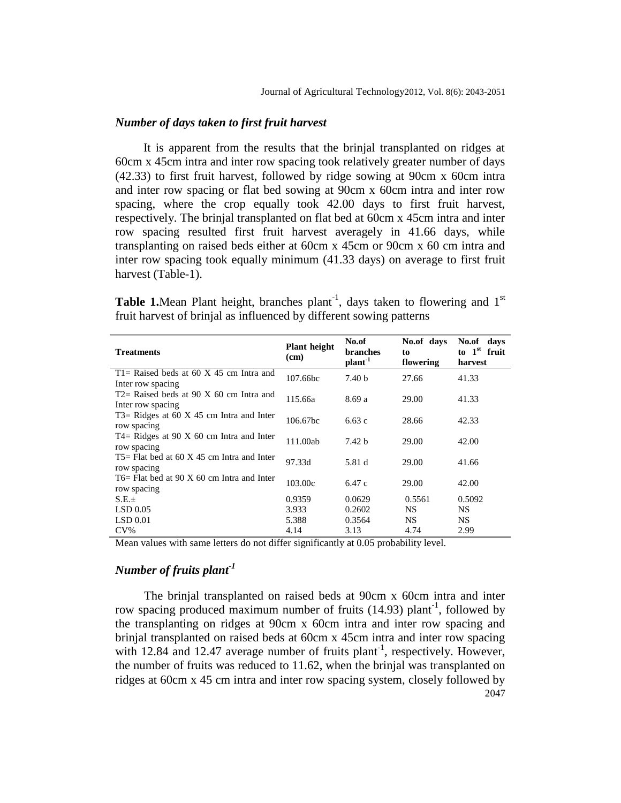#### *Number of days taken to first fruit harvest*

It is apparent from the results that the brinjal transplanted on ridges at 60cm x 45cm intra and inter row spacing took relatively greater number of days (42.33) to first fruit harvest, followed by ridge sowing at 90cm x 60cm intra and inter row spacing or flat bed sowing at 90cm x 60cm intra and inter row spacing, where the crop equally took 42.00 days to first fruit harvest, respectively. The brinjal transplanted on flat bed at 60cm x 45cm intra and inter row spacing resulted first fruit harvest averagely in 41.66 days, while transplanting on raised beds either at 60cm x 45cm or 90cm x 60 cm intra and inter row spacing took equally minimum (41.33 days) on average to first fruit harvest (Table-1).

**Table 1.** Mean Plant height, branches plant<sup>-1</sup>, days taken to flowering and  $1<sup>st</sup>$ fruit harvest of brinjal as influenced by different sowing patterns

| <b>Treatments</b>                                                          | <b>Plant</b> height<br>(cm) | No.of<br>branches<br>plant <sup>-1</sup> | No.of days<br>to<br>flowering | No.of days<br>to $1st$ fruit<br>harvest |
|----------------------------------------------------------------------------|-----------------------------|------------------------------------------|-------------------------------|-----------------------------------------|
| $T1 =$ Raised beds at 60 X 45 cm Intra and<br>Inter row spacing            | 107.66bc                    | 7.40 <sub>b</sub>                        | 27.66                         | 41.33                                   |
| $T2$ Raised beds at 90 X 60 cm Intra and<br>Inter row spacing              | 115.66a                     | 8.69a                                    | 29.00                         | 41.33                                   |
| T3= Ridges at $60 \text{ X } 45 \text{ cm}$ Intra and Inter<br>row spacing | 106.67bc                    | 6.63c                                    | 28.66                         | 42.33                                   |
| $T4 =$ Ridges at 90 X 60 cm Intra and Inter<br>row spacing                 | 111.00ab                    | 7.42 <sub>b</sub>                        | 29.00                         | 42.00                                   |
| $T5$ Flat bed at 60 X 45 cm Intra and Inter<br>row spacing                 | 97.33d                      | 5.81 d                                   | 29.00                         | 41.66                                   |
| $T6 =$ Flat bed at 90 X 60 cm Intra and Inter<br>row spacing               | 103.00c                     | 6.47 c                                   | 29.00                         | 42.00                                   |
| S.E.±                                                                      | 0.9359                      | 0.0629                                   | 0.5561                        | 0.5092                                  |
| LSD 0.05                                                                   | 3.933                       | 0.2602                                   | NS.                           | NS.                                     |
| LSD 0.01                                                                   | 5.388                       | 0.3564                                   | NS.                           | NS.                                     |
| $CV\%$                                                                     | 4.14                        | 3.13                                     | 4.74                          | 2.99                                    |

Mean values with same letters do not differ significantly at 0.05 probability level.

# *Number of fruits plant-1*

2047 The brinjal transplanted on raised beds at 90cm x 60cm intra and inter row spacing produced maximum number of fruits  $(14.93)$  plant<sup>-1</sup>, followed by the transplanting on ridges at 90cm x 60cm intra and inter row spacing and brinjal transplanted on raised beds at 60cm x 45cm intra and inter row spacing with  $12.84$  and  $12.47$  average number of fruits plant<sup>-1</sup>, respectively. However, the number of fruits was reduced to 11.62, when the brinjal was transplanted on ridges at 60cm x 45 cm intra and inter row spacing system, closely followed by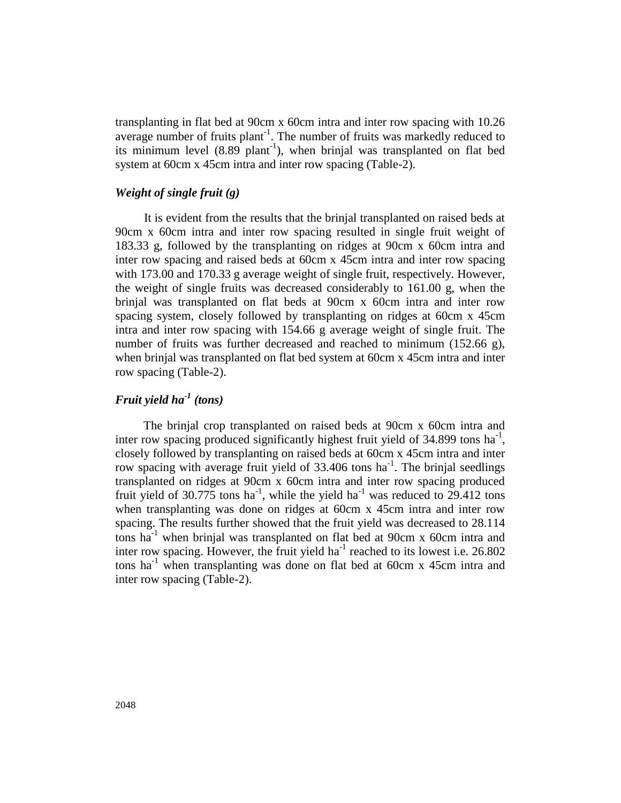transplanting in flat bed at 90cm x 60cm intra and inter row spacing with 10.26 average number of fruits plant<sup>-1</sup>. The number of fruits was markedly reduced to its minimum level  $(8.89 \text{ plant}^{-1})$ , when brinjal was transplanted on flat bed system at 60cm x 45cm intra and inter row spacing (Table-2).

#### *Weight of single fruit (g)*

It is evident from the results that the brinjal transplanted on raised beds at 90cm x 60cm intra and inter row spacing resulted in single fruit weight of 183.33 g, followed by the transplanting on ridges at 90cm x 60cm intra and inter row spacing and raised beds at 60cm x 45cm intra and inter row spacing with 173.00 and 170.33 g average weight of single fruit, respectively. However, the weight of single fruits was decreased considerably to 161.00 g, when the brinjal was transplanted on flat beds at 90cm x 60cm intra and inter row spacing system, closely followed by transplanting on ridges at 60cm x 45cm intra and inter row spacing with 154.66 g average weight of single fruit. The number of fruits was further decreased and reached to minimum (152.66 g), when brinjal was transplanted on flat bed system at 60cm x 45cm intra and inter row spacing (Table-2).

# *Fruit yield ha-1 (tons)*

The brinjal crop transplanted on raised beds at 90cm x 60cm intra and inter row spacing produced significantly highest fruit yield of  $34.899$  tons ha<sup>-1</sup>, closely followed by transplanting on raised beds at 60cm x 45cm intra and inter row spacing with average fruit yield of  $33.406$  tons ha<sup>-1</sup>. The brinjal seedlings transplanted on ridges at 90cm x 60cm intra and inter row spacing produced fruit yield of 30.775 tons ha<sup>-1</sup>, while the yield ha<sup>-1</sup> was reduced to 29.412 tons when transplanting was done on ridges at 60cm x 45cm intra and inter row spacing. The results further showed that the fruit yield was decreased to 28.114 tons ha<sup>-1</sup> when brinjal was transplanted on flat bed at 90cm x 60cm intra and inter row spacing. However, the fruit yield ha<sup>-1</sup> reached to its lowest i.e.  $26.802$ tons ha<sup>-1</sup> when transplanting was done on flat bed at 60cm x 45cm intra and inter row spacing (Table-2).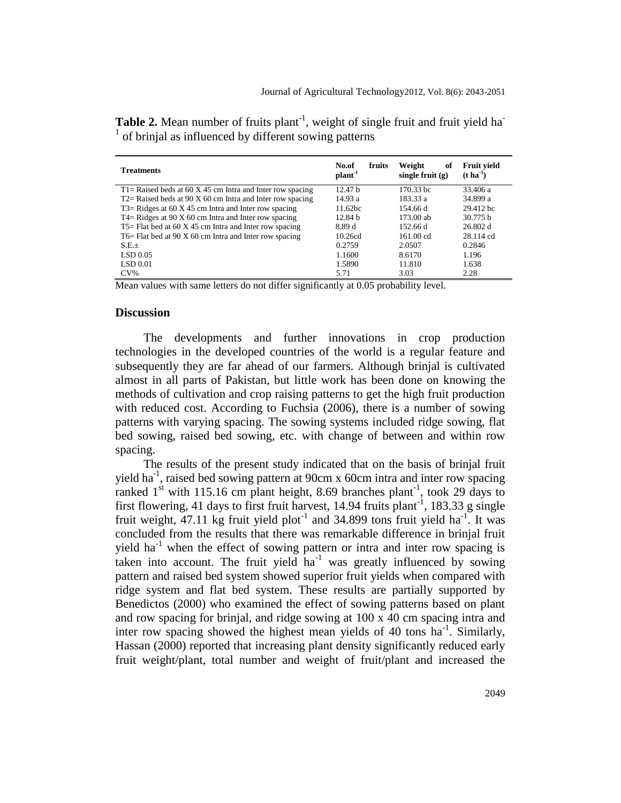| <b>Treatments</b>                                          | No.of<br>fruits<br>plant <sup>-1</sup> | Weight<br>оf<br>single fruit $(g)$ | <b>Fruit vield</b><br>$(t \text{ ha}^{-1})$ |
|------------------------------------------------------------|----------------------------------------|------------------------------------|---------------------------------------------|
| T1= Raised beds at 60 X 45 cm Intra and Inter row spacing  | 12.47 <sub>b</sub>                     | 170.33 bc                          | 33.406 a                                    |
| $T2$ Raised beds at 90 X 60 cm Intra and Inter row spacing | 14.93a                                 | 183.33 a                           | 34.899 a                                    |
| $T3 =$ Ridges at 60 X 45 cm Intra and Inter row spacing    | 11.62 <sub>bc</sub>                    | 154.66 d                           | 29.412 bc                                   |
| $T4 =$ Ridges at 90 X 60 cm Intra and Inter row spacing    | 12.84 <sub>b</sub>                     | 173.00 ab                          | 30.775 b                                    |
| $T5 =$ Flat bed at 60 X 45 cm Intra and Inter row spacing  | 8.89 d                                 | 152.66 d                           | 26.802 d                                    |
| T6= Flat bed at 90 X 60 cm Intra and Inter row spacing     | 10.26cd                                | $161.00$ cd                        | 28.114 cd                                   |
| $S.E.+$                                                    | 0.2759                                 | 2.0507                             | 0.2846                                      |
| $LSD$ 0.05                                                 | 1.1600                                 | 8.6170                             | 1.196                                       |
| LSD 0.01                                                   | 1.5890                                 | 11.810                             | 1.638                                       |
| $CV\%$                                                     | 5.71                                   | 3.03                               | 2.28                                        |

Table 2. Mean number of fruits plant<sup>-1</sup>, weight of single fruit and fruit yield ha<sup>-</sup> <sup>1</sup> of brinjal as influenced by different sowing patterns

Mean values with same letters do not differ significantly at 0.05 probability level.

#### **Discussion**

The developments and further innovations in crop production technologies in the developed countries of the world is a regular feature and subsequently they are far ahead of our farmers. Although brinjal is cultivated almost in all parts of Pakistan, but little work has been done on knowing the methods of cultivation and crop raising patterns to get the high fruit production with reduced cost. According to Fuchsia (2006), there is a number of sowing patterns with varying spacing. The sowing systems included ridge sowing, flat bed sowing, raised bed sowing, etc. with change of between and within row spacing.

The results of the present study indicated that on the basis of brinjal fruit yield ha<sup>-1</sup>, raised bed sowing pattern at 90cm x 60cm intra and inter row spacing ranked  $1<sup>st</sup>$  with 115.16 cm plant height, 8.69 branches plant<sup>-1</sup>, took 29 days to first flowering, 41 days to first fruit harvest,  $14.94$  fruits plant<sup>-1</sup>,  $183.33$  g single fruit weight,  $47.11$  kg fruit yield plot<sup>-1</sup> and  $34.899$  tons fruit yield ha<sup>-1</sup>. It was concluded from the results that there was remarkable difference in brinjal fruit yield ha<sup>-1</sup> when the effect of sowing pattern or intra and inter row spacing is taken into account. The fruit yield  $ha^{-1}$  was greatly influenced by sowing pattern and raised bed system showed superior fruit yields when compared with ridge system and flat bed system. These results are partially supported by Benedictos (2000) who examined the effect of sowing patterns based on plant and row spacing for brinjal, and ridge sowing at 100 x 40 cm spacing intra and inter row spacing showed the highest mean yields of 40 tons  $ha^{-1}$ . Similarly, Hassan (2000) reported that increasing plant density significantly reduced early fruit weight/plant, total number and weight of fruit/plant and increased the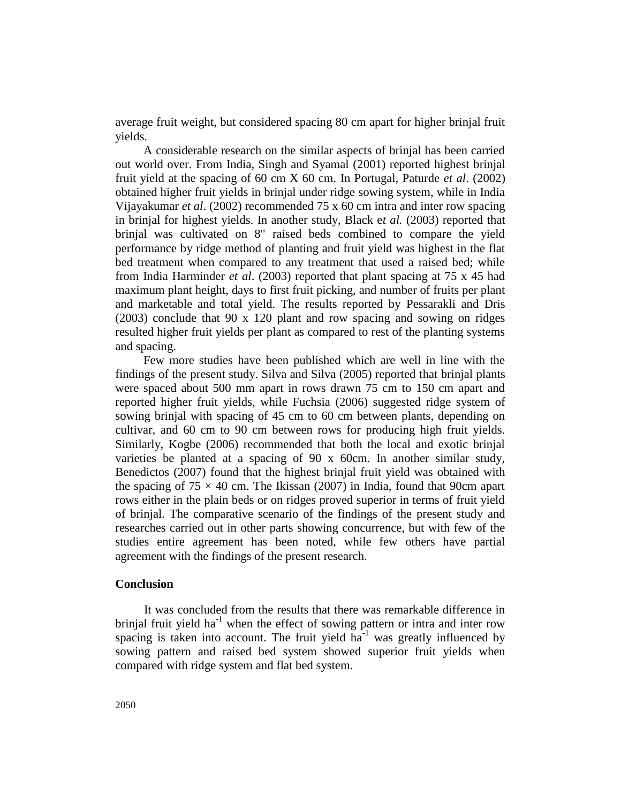average fruit weight, but considered spacing 80 cm apart for higher brinjal fruit yields.

A considerable research on the similar aspects of brinjal has been carried out world over. From India, Singh and Syamal (2001) reported highest brinjal fruit yield at the spacing of 60 cm X 60 cm. In Portugal, Paturde *et al*. (2002) obtained higher fruit yields in brinjal under ridge sowing system, while in India Vijayakumar *et al*. (2002) recommended 75 x 60 cm intra and inter row spacing in brinjal for highest yields. In another study, Black e*t al.* (2003) reported that brinjal was cultivated on 8" raised beds combined to compare the yield performance by ridge method of planting and fruit yield was highest in the flat bed treatment when compared to any treatment that used a raised bed; while from India Harminder *et al*. (2003) reported that plant spacing at 75 x 45 had maximum plant height, days to first fruit picking, and number of fruits per plant and marketable and total yield. The results reported by Pessarakli and Dris (2003) conclude that 90 x 120 plant and row spacing and sowing on ridges resulted higher fruit yields per plant as compared to rest of the planting systems and spacing.

Few more studies have been published which are well in line with the findings of the present study. Silva and Silva (2005) reported that brinjal plants were spaced about 500 mm apart in rows drawn 75 cm to 150 cm apart and reported higher fruit yields, while Fuchsia (2006) suggested ridge system of sowing brinjal with spacing of 45 cm to 60 cm between plants, depending on cultivar, and 60 cm to 90 cm between rows for producing high fruit yields. Similarly, Kogbe (2006) recommended that both the local and exotic brinjal varieties be planted at a spacing of 90 x 60cm. In another similar study, Benedictos (2007) found that the highest brinjal fruit yield was obtained with the spacing of  $75 \times 40$  cm. The Ikissan (2007) in India, found that 90cm apart rows either in the plain beds or on ridges proved superior in terms of fruit yield of brinjal. The comparative scenario of the findings of the present study and researches carried out in other parts showing concurrence, but with few of the studies entire agreement has been noted, while few others have partial agreement with the findings of the present research.

# **Conclusion**

It was concluded from the results that there was remarkable difference in brinjal fruit yield ha<sup>-1</sup> when the effect of sowing pattern or intra and inter row spacing is taken into account. The fruit yield  $ha^{-1}$  was greatly influenced by sowing pattern and raised bed system showed superior fruit yields when compared with ridge system and flat bed system.